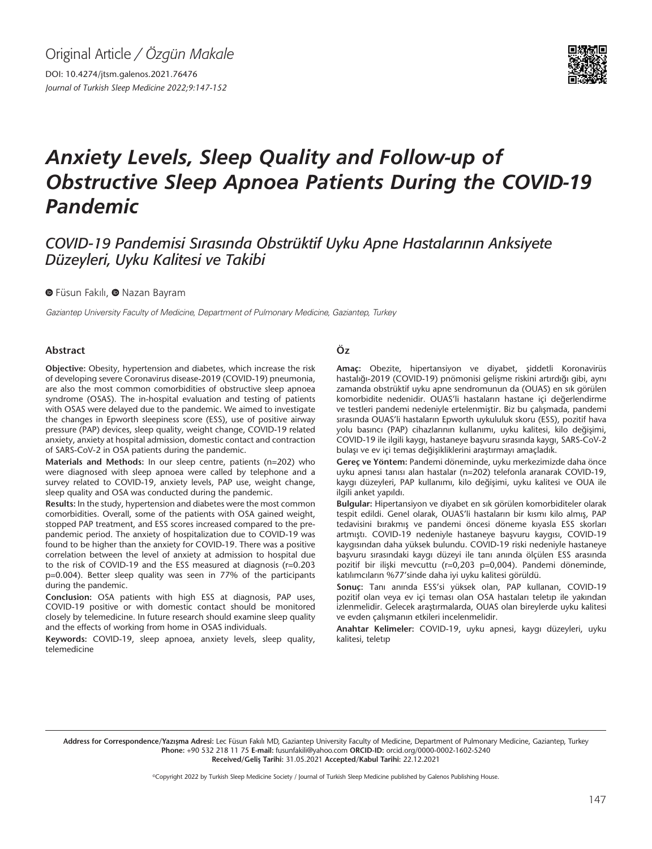Original Article */ Özgün Makale*

DOI: 10.4274/jtsm.galenos.2021.76476 *Journal of Turkish Sleep Medicine 2022;9:147-152*



# *Anxiety Levels, Sleep Quality and Follow-up of Obstructive Sleep Apnoea Patients During the COVID-19 Pandemic*

## *COVID-19 Pandemisi Sırasında Obstrüktif Uyku Apne Hastalarının Anksiyete Düzeyleri, Uyku Kalitesi ve Takibi*

**O**Füsun Fakılı, **O** Nazan Bayram

Gaziantep University Faculty of Medicine, Department of Pulmonary Medicine, Gaziantep, Turkey

#### **Abstract**

**Objective:** Obesity, hypertension and diabetes, which increase the risk of developing severe Coronavirus disease-2019 (COVID-19) pneumonia, are also the most common comorbidities of obstructive sleep apnoea syndrome (OSAS). The in-hospital evaluation and testing of patients with OSAS were delayed due to the pandemic. We aimed to investigate the changes in Epworth sleepiness score (ESS), use of positive airway pressure (PAP) devices, sleep quality, weight change, COVID-19 related anxiety, anxiety at hospital admission, domestic contact and contraction of SARS-CoV-2 in OSA patients during the pandemic.

**Materials and Methods:** In our sleep centre, patients (n=202) who were diagnosed with sleep apnoea were called by telephone and a survey related to COVID-19, anxiety levels, PAP use, weight change, sleep quality and OSA was conducted during the pandemic.

**Results:** In the study, hypertension and diabetes were the most common comorbidities. Overall, some of the patients with OSA gained weight, stopped PAP treatment, and ESS scores increased compared to the prepandemic period. The anxiety of hospitalization due to COVID-19 was found to be higher than the anxiety for COVID-19. There was a positive correlation between the level of anxiety at admission to hospital due to the risk of COVID-19 and the ESS measured at diagnosis (r=0.203 p=0.004). Better sleep quality was seen in 77% of the participants during the pandemic.

**Conclusion:** OSA patients with high ESS at diagnosis, PAP uses, COVID-19 positive or with domestic contact should be monitored closely by telemedicine. In future research should examine sleep quality and the effects of working from home in OSAS individuals.

**Keywords:** COVID-19, sleep apnoea, anxiety levels, sleep quality, telemedicine

#### **Öz**

**Amaç:** Obezite, hipertansiyon ve diyabet, şiddetli Koronavirüs hastalığı-2019 (COVID-19) pnömonisi gelişme riskini artırdığı gibi, aynı zamanda obstrüktif uyku apne sendromunun da (OUAS) en sık görülen komorbidite nedenidir. OUAS'li hastaların hastane içi değerlendirme ve testleri pandemi nedeniyle ertelenmiştir. Biz bu çalışmada, pandemi sırasında OUAS'li hastaların Epworth uykululuk skoru (ESS), pozitif hava yolu basıncı (PAP) cihazlarının kullanımı, uyku kalitesi, kilo değişimi, COVID-19 ile ilgili kaygı, hastaneye başvuru sırasında kaygı, SARS-CoV-2 bulaşı ve ev içi temas değişikliklerini araştırmayı amaçladık.

**Gereç ve Yöntem:** Pandemi döneminde, uyku merkezimizde daha önce uyku apnesi tanısı alan hastalar (n=202) telefonla aranarak COVID-19, kaygı düzeyleri, PAP kullanımı, kilo değişimi, uyku kalitesi ve OUA ile ilgili anket yapıldı.

**Bulgular:** Hipertansiyon ve diyabet en sık görülen komorbiditeler olarak tespit edildi. Genel olarak, OUAS'li hastaların bir kısmı kilo almış, PAP tedavisini bırakmış ve pandemi öncesi döneme kıyasla ESS skorları artmıştı. COVID-19 nedeniyle hastaneye başvuru kaygısı, COVID-19 kaygısından daha yüksek bulundu. COVID-19 riski nedeniyle hastaneye başvuru sırasındaki kaygı düzeyi ile tanı anında ölçülen ESS arasında pozitif bir ilişki mevcuttu (r=0,203 p=0,004). Pandemi döneminde, katılımcıların %77'sinde daha iyi uyku kalitesi görüldü.

**Sonuç:** Tanı anında ESS'si yüksek olan, PAP kullanan, COVID-19 pozitif olan veya ev içi teması olan OSA hastaları teletıp ile yakından izlenmelidir. Gelecek araştırmalarda, OUAS olan bireylerde uyku kalitesi ve evden çalışmanın etkileri incelenmelidir.

**Anahtar Kelimeler:** COVID-19, uyku apnesi, kaygı düzeyleri, uyku kalitesi, teletıp

Address for Correspondence/Yazışma Adresi: Lec Füsun Fakılı MD, Gaziantep University Faculty of Medicine, Department of Pulmonary Medicine, Gaziantep, Turkey **Phone:** +90 532 218 11 75 **E-mail:** fusunfakili@yahoo.com **ORCID-ID:** orcid.org/0000-0002-1602-5240 **Received/Geliş Tarihi:** 31.05.2021 **Accepted/Kabul Tarihi:** 22.12.2021

©Copyright 2022 by Turkish Sleep Medicine Society / Journal of Turkish Sleep Medicine published by Galenos Publishing House.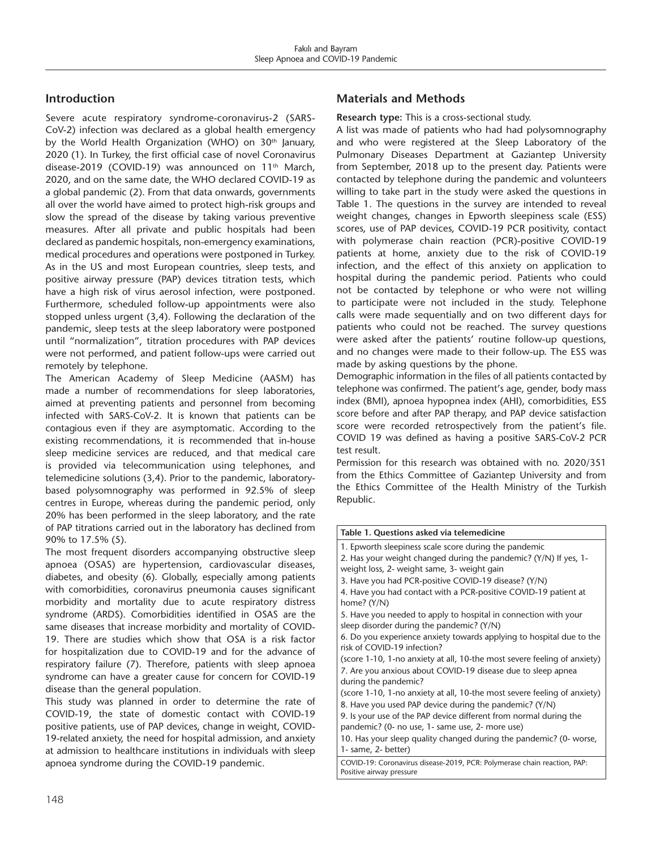## **Introduction**

Severe acute respiratory syndrome-coronavirus-2 (SARS-CoV-2) infection was declared as a global health emergency by the World Health Organization (WHO) on 30<sup>th</sup> January, 2020 (1). In Turkey, the first official case of novel Coronavirus disease-2019 (COVID-19) was announced on 11<sup>th</sup> March, 2020, and on the same date, the WHO declared COVID-19 as a global pandemic (2). From that data onwards, governments all over the world have aimed to protect high-risk groups and slow the spread of the disease by taking various preventive measures. After all private and public hospitals had been declared as pandemic hospitals, non-emergency examinations, medical procedures and operations were postponed in Turkey. As in the US and most European countries, sleep tests, and positive airway pressure (PAP) devices titration tests, which have a high risk of virus aerosol infection, were postponed. Furthermore, scheduled follow-up appointments were also stopped unless urgent (3,4). Following the declaration of the pandemic, sleep tests at the sleep laboratory were postponed until "normalization", titration procedures with PAP devices were not performed, and patient follow-ups were carried out remotely by telephone.

The American Academy of Sleep Medicine (AASM) has made a number of recommendations for sleep laboratories, aimed at preventing patients and personnel from becoming infected with SARS-CoV-2. It is known that patients can be contagious even if they are asymptomatic. According to the existing recommendations, it is recommended that in-house sleep medicine services are reduced, and that medical care is provided via telecommunication using telephones, and telemedicine solutions (3,4). Prior to the pandemic, laboratorybased polysomnography was performed in 92.5% of sleep centres in Europe, whereas during the pandemic period, only 20% has been performed in the sleep laboratory, and the rate of PAP titrations carried out in the laboratory has declined from 90% to 17.5% (5).

The most frequent disorders accompanying obstructive sleep apnoea (OSAS) are hypertension, cardiovascular diseases, diabetes, and obesity (6). Globally, especially among patients with comorbidities, coronavirus pneumonia causes significant morbidity and mortality due to acute respiratory distress syndrome (ARDS). Comorbidities identified in OSAS are the same diseases that increase morbidity and mortality of COVID-19. There are studies which show that OSA is a risk factor for hospitalization due to COVID-19 and for the advance of respiratory failure (7). Therefore, patients with sleep apnoea syndrome can have a greater cause for concern for COVID-19 disease than the general population.

This study was planned in order to determine the rate of COVID-19, the state of domestic contact with COVID-19 positive patients, use of PAP devices, change in weight, COVID-19-related anxiety, the need for hospital admission, and anxiety at admission to healthcare institutions in individuals with sleep apnoea syndrome during the COVID-19 pandemic.

## **Materials and Methods**

#### **Research type:** This is a cross-sectional study.

A list was made of patients who had had polysomnography and who were registered at the Sleep Laboratory of the Pulmonary Diseases Department at Gaziantep University from September, 2018 up to the present day. Patients were contacted by telephone during the pandemic and volunteers willing to take part in the study were asked the questions in Table 1. The questions in the survey are intended to reveal weight changes, changes in Epworth sleepiness scale (ESS) scores, use of PAP devices, COVID-19 PCR positivity, contact with polymerase chain reaction (PCR)-positive COVID-19 patients at home, anxiety due to the risk of COVID-19 infection, and the effect of this anxiety on application to hospital during the pandemic period. Patients who could not be contacted by telephone or who were not willing to participate were not included in the study. Telephone calls were made sequentially and on two different days for patients who could not be reached. The survey questions were asked after the patients' routine follow-up questions, and no changes were made to their follow-up. The ESS was made by asking questions by the phone.

Demographic information in the files of all patients contacted by telephone was confirmed. The patient's age, gender, body mass index (BMI), apnoea hypopnea index (AHI), comorbidities, ESS score before and after PAP therapy, and PAP device satisfaction score were recorded retrospectively from the patient's file. COVID 19 was defined as having a positive SARS-CoV-2 PCR test result.

Permission for this research was obtained with no. 2020/351 from the Ethics Committee of Gaziantep University and from the Ethics Committee of the Health Ministry of the Turkish Republic.

| Table 1. Questions asked via telemedicine                                                                                                                        |  |  |  |  |  |
|------------------------------------------------------------------------------------------------------------------------------------------------------------------|--|--|--|--|--|
| 1. Epworth sleepiness scale score during the pandemic                                                                                                            |  |  |  |  |  |
| 2. Has your weight changed during the pandemic? (Y/N) If yes, 1-<br>weight loss, 2- weight same, 3- weight gain                                                  |  |  |  |  |  |
| 3. Have you had PCR-positive COVID-19 disease? (Y/N)                                                                                                             |  |  |  |  |  |
| 4. Have you had contact with a PCR-positive COVID-19 patient at<br>home? (Y/N)                                                                                   |  |  |  |  |  |
| 5. Have you needed to apply to hospital in connection with your<br>sleep disorder during the pandemic? (Y/N)                                                     |  |  |  |  |  |
| 6. Do you experience anxiety towards applying to hospital due to the<br>risk of COVID-19 infection?                                                              |  |  |  |  |  |
| (score 1-10, 1-no anxiety at all, 10-the most severe feeling of anxiety)<br>7. Are you anxious about COVID-19 disease due to sleep apnea<br>during the pandemic? |  |  |  |  |  |
| (score 1-10, 1-no anxiety at all, 10-the most severe feeling of anxiety)<br>8. Have you used PAP device during the pandemic? (Y/N)                               |  |  |  |  |  |
| 9. Is your use of the PAP device different from normal during the<br>pandemic? (0- no use, 1- same use, 2- more use)                                             |  |  |  |  |  |
| 10. Has your sleep quality changed during the pandemic? (0- worse,<br>1- same, 2- better)                                                                        |  |  |  |  |  |
| COVID-19: Coronavirus disease-2019, PCR: Polymerase chain reaction, PAP:<br>Positive airway pressure                                                             |  |  |  |  |  |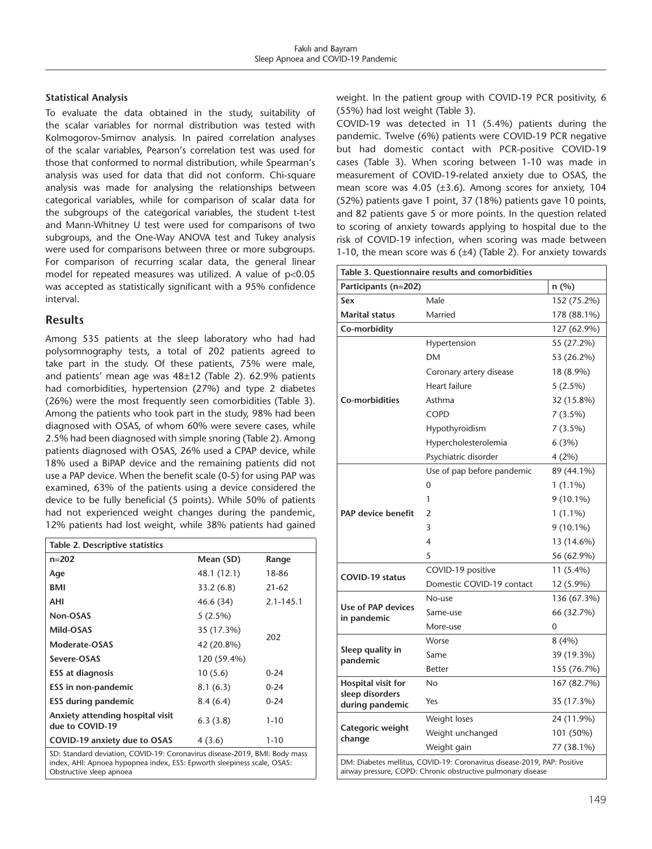#### **Statistical Analysis**

To evaluate the data obtained in the study, suitability of the scalar variables for normal distribution was tested with Kolmogorov-Smirnov analysis. In paired correlation analyses of the scalar variables, Pearson's correlation test was used for those that conformed to normal distribution, while Spearman's analysis was used for data that did not conform. Chi-square analysis was made for analysing the relationships between categorical variables, while for comparison of scalar data for the subgroups of the categorical variables, the student t-test and Mann-Whitney U test were used for comparisons of two subgroups, and the One-Way ANOVA test and Tukey analysis were used for comparisons between three or more subgroups. For comparison of recurring scalar data, the general linear model for repeated measures was utilized. A value of p<0.05 was accepted as statistically significant with a 95% confidence interval.

#### **Results**

Among 535 patients at the sleep laboratory who had had polysomnography tests, a total of 202 patients agreed to take part in the study. Of these patients, 75% were male, and patients' mean age was 48±12 (Table 2). 62.9% patients had comorbidities, hypertension (27%) and type 2 diabetes (26%) were the most frequently seen comorbidities (Table 3). Among the patients who took part in the study, 98% had been diagnosed with OSAS, of whom 60% were severe cases, while 2.5% had been diagnosed with simple snoring (Table 2). Among patients diagnosed with OSAS, 26% used a CPAP device, while 18% used a BiPAP device and the remaining patients did not use a PAP device. When the benefit scale (0-5) for using PAP was examined, 63% of the patients using a device considered the device to be fully beneficial (5 points). While 50% of patients had not experienced weight changes during the pandemic, 12% patients had lost weight, while 38% patients had gained

| Table 2. Descriptive statistics                     |             |               |  |  |  |  |  |
|-----------------------------------------------------|-------------|---------------|--|--|--|--|--|
| $n = 202$                                           | Mean (SD)   | Range         |  |  |  |  |  |
| Age                                                 | 48.1 (12.1) | 18-86         |  |  |  |  |  |
| BMI                                                 | 33.2(6.8)   | $21 - 62$     |  |  |  |  |  |
| AHI                                                 | 46.6 (34)   | $2.1 - 145.1$ |  |  |  |  |  |
| Non-OSAS                                            | $5(2.5\%)$  |               |  |  |  |  |  |
| Mild-OSAS                                           | 35 (17.3%)  | 202           |  |  |  |  |  |
| Moderate-OSAS                                       | 42 (20.8%)  |               |  |  |  |  |  |
| Severe-OSAS                                         | 120 (59.4%) |               |  |  |  |  |  |
| <b>ESS at diagnosis</b>                             | 10(5.6)     | $0 - 24$      |  |  |  |  |  |
| ESS in non-pandemic                                 | 8.1(6.3)    | $0 - 24$      |  |  |  |  |  |
| <b>ESS during pandemic</b>                          | 8.4(6.4)    | $0 - 24$      |  |  |  |  |  |
| Anxiety attending hospital visit<br>due to COVID-19 | 6.3(3.8)    | $1 - 10$      |  |  |  |  |  |
| COVID-19 anxiety due to OSAS                        | 4(3.6)      | $1 - 10$      |  |  |  |  |  |

SD: Standard deviation, COVID-19: Coronavirus disease-2019, BMI: Body mass index, AHI: Apnoea hypopnea index, ESS: Epworth sleepiness scale, OSAS: Obstructive sleep apnoea

weight. In the patient group with COVID-19 PCR positivity, 6 (55%) had lost weight (Table 3).

COVID-19 was detected in 11 (5.4%) patients during the pandemic. Twelve (6%) patients were COVID-19 PCR negative but had domestic contact with PCR-positive COVID-19 cases (Table 3). When scoring between 1-10 was made in measurement of COVID-19-related anxiety due to OSAS, the mean score was 4.05 (±3.6). Among scores for anxiety, 104 (52%) patients gave 1 point, 37 (18%) patients gave 10 points, and 82 patients gave 5 or more points. In the question related to scoring of anxiety towards applying to hospital due to the risk of COVID-19 infection, when scoring was made between 1-10, the mean score was  $6$  ( $\pm 4$ ) (Table 2). For anxiety towards

| Table 3. Questionnaire results and comorbidities                                                                                         |                            |             |  |  |  |
|------------------------------------------------------------------------------------------------------------------------------------------|----------------------------|-------------|--|--|--|
| Participants (n=202)                                                                                                                     |                            | n (%)       |  |  |  |
| Sex                                                                                                                                      | Male                       | 152 (75.2%) |  |  |  |
| <b>Marital status</b>                                                                                                                    | Married                    | 178 (88.1%) |  |  |  |
| Co-morbidity                                                                                                                             |                            | 127 (62.9%) |  |  |  |
|                                                                                                                                          | Hypertension               | 55 (27.2%)  |  |  |  |
|                                                                                                                                          | DM                         | 53 (26.2%)  |  |  |  |
|                                                                                                                                          | Coronary artery disease    | 18 (8.9%)   |  |  |  |
|                                                                                                                                          | <b>Heart failure</b>       | $5(2.5\%)$  |  |  |  |
| Co-morbidities                                                                                                                           | Asthma                     | 32 (15.8%)  |  |  |  |
|                                                                                                                                          | <b>COPD</b>                | 7(3.5%)     |  |  |  |
|                                                                                                                                          | Hypothyroidism             | 7(3.5%)     |  |  |  |
|                                                                                                                                          | Hypercholesterolemia       | 6(3%)       |  |  |  |
|                                                                                                                                          | Psychiatric disorder       | 4(2%)       |  |  |  |
|                                                                                                                                          | Use of pap before pandemic | 89 (44.1%)  |  |  |  |
|                                                                                                                                          | 0                          | $1(1.1\%)$  |  |  |  |
|                                                                                                                                          | 1                          | $9(10.1\%)$ |  |  |  |
| <b>PAP device benefit</b>                                                                                                                | 2                          | $1(1.1\%)$  |  |  |  |
|                                                                                                                                          | 3                          | 9 (10.1%)   |  |  |  |
|                                                                                                                                          | $\overline{\mathbf{4}}$    | 13 (14.6%)  |  |  |  |
|                                                                                                                                          | 5                          | 56 (62.9%)  |  |  |  |
|                                                                                                                                          | COVID-19 positive          | 11 (5.4%)   |  |  |  |
| <b>COVID-19 status</b>                                                                                                                   | Domestic COVID-19 contact  | 12 (5.9%)   |  |  |  |
|                                                                                                                                          | No-use                     | 136 (67.3%) |  |  |  |
| Use of PAP devices<br>in pandemic                                                                                                        | Same-use                   | 66 (32.7%)  |  |  |  |
|                                                                                                                                          | More-use                   | 0           |  |  |  |
|                                                                                                                                          | Worse                      | 8(4%)       |  |  |  |
| Sleep quality in<br>pandemic                                                                                                             | Same                       | 39 (19.3%)  |  |  |  |
|                                                                                                                                          | <b>Better</b>              | 155 (76.7%) |  |  |  |
| Hospital visit for                                                                                                                       | No                         | 167 (82.7%) |  |  |  |
| sleep disorders<br>during pandemic                                                                                                       | Yes                        | 35 (17.3%)  |  |  |  |
|                                                                                                                                          | Weight loses               | 24 (11.9%)  |  |  |  |
| Categoric weight<br>change                                                                                                               | Weight unchanged           | 101 (50%)   |  |  |  |
|                                                                                                                                          | Weight gain                | 77 (38.1%)  |  |  |  |
| DM: Diabetes mellitus, COVID-19: Coronavirus disease-2019, PAP: Positive<br>airway pressure, COPD: Chronic obstructive pulmonary disease |                            |             |  |  |  |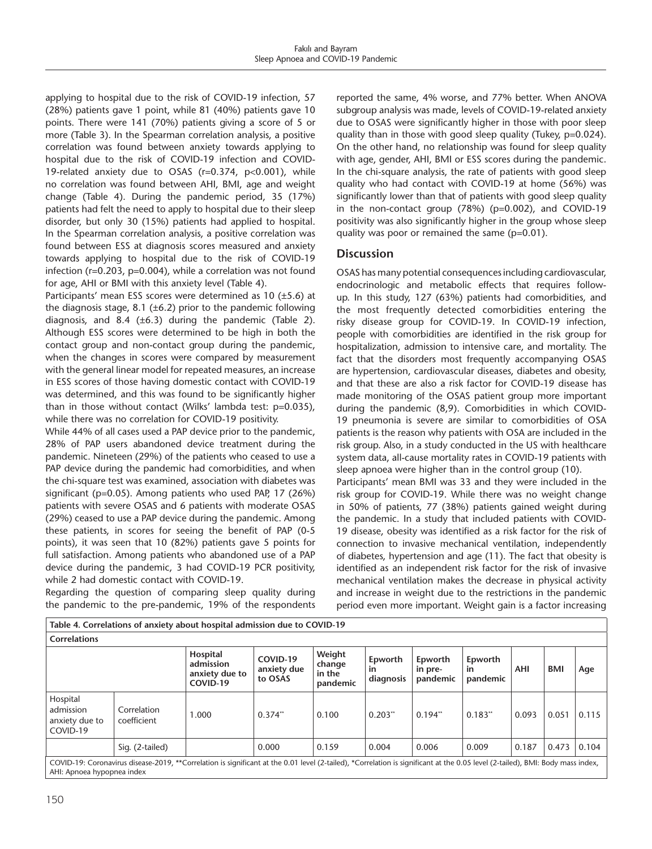applying to hospital due to the risk of COVID-19 infection, 57 (28%) patients gave 1 point, while 81 (40%) patients gave 10 points. There were 141 (70%) patients giving a score of 5 or more (Table 3). In the Spearman correlation analysis, a positive correlation was found between anxiety towards applying to hospital due to the risk of COVID-19 infection and COVID-19-related anxiety due to OSAS (r=0.374, p<0.001), while no correlation was found between AHI, BMI, age and weight change (Table 4). During the pandemic period, 35 (17%) patients had felt the need to apply to hospital due to their sleep disorder, but only 30 (15%) patients had applied to hospital. In the Spearman correlation analysis, a positive correlation was found between ESS at diagnosis scores measured and anxiety towards applying to hospital due to the risk of COVID-19 infection (r=0.203, p=0.004), while a correlation was not found for age, AHI or BMI with this anxiety level (Table 4).

Participants' mean ESS scores were determined as 10 (±5.6) at the diagnosis stage, 8.1 ( $\pm$ 6.2) prior to the pandemic following diagnosis, and 8.4 ( $\pm$ 6.3) during the pandemic (Table 2). Although ESS scores were determined to be high in both the contact group and non-contact group during the pandemic, when the changes in scores were compared by measurement with the general linear model for repeated measures, an increase in ESS scores of those having domestic contact with COVID-19 was determined, and this was found to be significantly higher than in those without contact (Wilks' lambda test: p=0.035), while there was no correlation for COVID-19 positivity.

While 44% of all cases used a PAP device prior to the pandemic, 28% of PAP users abandoned device treatment during the pandemic. Nineteen (29%) of the patients who ceased to use a PAP device during the pandemic had comorbidities, and when the chi-square test was examined, association with diabetes was significant (p=0.05). Among patients who used PAP, 17 (26%) patients with severe OSAS and 6 patients with moderate OSAS (29%) ceased to use a PAP device during the pandemic. Among these patients, in scores for seeing the benefit of PAP (0-5 points), it was seen that 10 (82%) patients gave 5 points for full satisfaction. Among patients who abandoned use of a PAP device during the pandemic, 3 had COVID-19 PCR positivity, while 2 had domestic contact with COVID-19.

Regarding the question of comparing sleep quality during the pandemic to the pre-pandemic, 19% of the respondents reported the same, 4% worse, and 77% better. When ANOVA subgroup analysis was made, levels of COVID-19-related anxiety due to OSAS were significantly higher in those with poor sleep quality than in those with good sleep quality (Tukey, p=0.024). On the other hand, no relationship was found for sleep quality with age, gender, AHI, BMI or ESS scores during the pandemic. In the chi-square analysis, the rate of patients with good sleep quality who had contact with COVID-19 at home (56%) was significantly lower than that of patients with good sleep quality in the non-contact group (78%) (p=0.002), and COVID-19 positivity was also significantly higher in the group whose sleep quality was poor or remained the same (p=0.01).

## **Discussion**

OSAS has many potential consequences including cardiovascular, endocrinologic and metabolic effects that requires followup. In this study, 127 (63%) patients had comorbidities, and the most frequently detected comorbidities entering the risky disease group for COVID-19. In COVID-19 infection, people with comorbidities are identified in the risk group for hospitalization, admission to intensive care, and mortality. The fact that the disorders most frequently accompanying OSAS are hypertension, cardiovascular diseases, diabetes and obesity, and that these are also a risk factor for COVID-19 disease has made monitoring of the OSAS patient group more important during the pandemic (8,9). Comorbidities in which COVID-19 pneumonia is severe are similar to comorbidities of OSA patients is the reason why patients with OSA are included in the risk group. Also, in a study conducted in the US with healthcare system data, all-cause mortality rates in COVID-19 patients with sleep apnoea were higher than in the control group (10).

Participants' mean BMI was 33 and they were included in the risk group for COVID-19. While there was no weight change in 50% of patients, 77 (38%) patients gained weight during the pandemic. In a study that included patients with COVID-19 disease, obesity was identified as a risk factor for the risk of connection to invasive mechanical ventilation, independently of diabetes, hypertension and age (11). The fact that obesity is identified as an independent risk factor for the risk of invasive mechanical ventilation makes the decrease in physical activity and increase in weight due to the restrictions in the pandemic period even more important. Weight gain is a factor increasing

| Table 4. Correlations of anxiety about hospital admission due to COVID-19 |                            |                                                                                                                                                                                |                                    |                                        |                            |                                |                                  |            |       |       |
|---------------------------------------------------------------------------|----------------------------|--------------------------------------------------------------------------------------------------------------------------------------------------------------------------------|------------------------------------|----------------------------------------|----------------------------|--------------------------------|----------------------------------|------------|-------|-------|
| <b>Correlations</b>                                                       |                            |                                                                                                                                                                                |                                    |                                        |                            |                                |                                  |            |       |       |
|                                                                           |                            | Hospital<br>admission<br>anxiety due to<br>COVID-19                                                                                                                            | COVID-19<br>anxiety due<br>to OSAS | Weight<br>change<br>in the<br>pandemic | Epworth<br>in<br>diagnosis | Epworth<br>in pre-<br>pandemic | Epworth<br><b>in</b><br>pandemic | <b>AHI</b> | BMI   | Age   |
| Hospital<br>admission<br>anxiety due to<br>COVID-19                       | Correlation<br>coefficient | 1.000                                                                                                                                                                          | $0.374$ **                         | 0.100                                  | 0.203"                     | $0.194$ <sup>**</sup>          | 0.183"                           | 0.093      | 0.051 | 0.115 |
|                                                                           | Sig. (2-tailed)            |                                                                                                                                                                                | 0.000                              | 0.159                                  | 0.004                      | 0.006                          | 0.009                            | 0.187      | 0.473 | 0.104 |
| AHI: Apnoea hypopnea index                                                |                            | COVID-19: Coronavirus disease-2019, **Correlation is significant at the 0.01 level (2-tailed), *Correlation is significant at the 0.05 level (2-tailed), BMI: Body mass index, |                                    |                                        |                            |                                |                                  |            |       |       |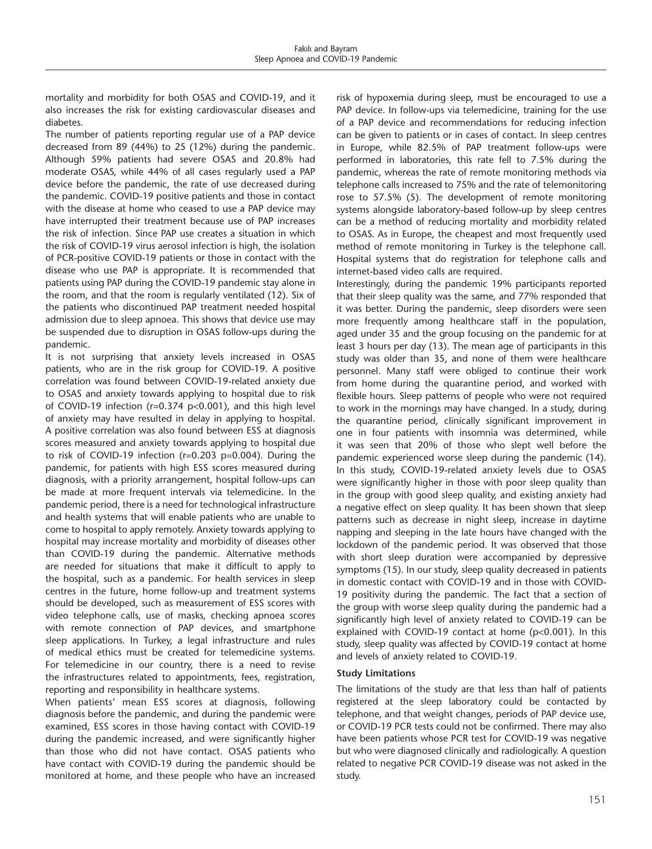mortality and morbidity for both OSAS and COVID-19, and it also increases the risk for existing cardiovascular diseases and diabetes.

The number of patients reporting regular use of a PAP device decreased from 89 (44%) to 25 (12%) during the pandemic. Although 59% patients had severe OSAS and 20.8% had moderate OSAS, while 44% of all cases regularly used a PAP device before the pandemic, the rate of use decreased during the pandemic. COVID-19 positive patients and those in contact with the disease at home who ceased to use a PAP device may have interrupted their treatment because use of PAP increases the risk of infection. Since PAP use creates a situation in which the risk of COVID-19 virus aerosol infection is high, the isolation of PCR-positive COVID-19 patients or those in contact with the disease who use PAP is appropriate. It is recommended that patients using PAP during the COVID-19 pandemic stay alone in the room, and that the room is regularly ventilated (12). Six of the patients who discontinued PAP treatment needed hospital admission due to sleep apnoea. This shows that device use may be suspended due to disruption in OSAS follow-ups during the pandemic.

It is not surprising that anxiety levels increased in OSAS patients, who are in the risk group for COVID-19. A positive correlation was found between COVID-19-related anxiety due to OSAS and anxiety towards applying to hospital due to risk of COVID-19 infection (r=0.374 p<0.001), and this high level of anxiety may have resulted in delay in applying to hospital. A positive correlation was also found between ESS at diagnosis scores measured and anxiety towards applying to hospital due to risk of COVID-19 infection (r=0.203 p=0.004). During the pandemic, for patients with high ESS scores measured during diagnosis, with a priority arrangement, hospital follow-ups can be made at more frequent intervals via telemedicine. In the pandemic period, there is a need for technological infrastructure and health systems that will enable patients who are unable to come to hospital to apply remotely. Anxiety towards applying to hospital may increase mortality and morbidity of diseases other than COVID-19 during the pandemic. Alternative methods are needed for situations that make it difficult to apply to the hospital, such as a pandemic. For health services in sleep centres in the future, home follow-up and treatment systems should be developed, such as measurement of ESS scores with video telephone calls, use of masks, checking apnoea scores with remote connection of PAP devices, and smartphone sleep applications. In Turkey, a legal infrastructure and rules of medical ethics must be created for telemedicine systems. For telemedicine in our country, there is a need to revise the infrastructures related to appointments, fees, registration, reporting and responsibility in healthcare systems.

When patients' mean ESS scores at diagnosis, following diagnosis before the pandemic, and during the pandemic were examined, ESS scores in those having contact with COVID-19 during the pandemic increased, and were significantly higher than those who did not have contact. OSAS patients who have contact with COVID-19 during the pandemic should be monitored at home, and these people who have an increased risk of hypoxemia during sleep, must be encouraged to use a PAP device. In follow-ups via telemedicine, training for the use of a PAP device and recommendations for reducing infection can be given to patients or in cases of contact. In sleep centres in Europe, while 82.5% of PAP treatment follow-ups were performed in laboratories, this rate fell to 7.5% during the pandemic, whereas the rate of remote monitoring methods via telephone calls increased to 75% and the rate of telemonitoring rose to 57.5% (5). The development of remote monitoring systems alongside laboratory-based follow-up by sleep centres can be a method of reducing mortality and morbidity related to OSAS. As in Europe, the cheapest and most frequently used method of remote monitoring in Turkey is the telephone call. Hospital systems that do registration for telephone calls and internet-based video calls are required.

Interestingly, during the pandemic 19% participants reported that their sleep quality was the same, and 77% responded that it was better. During the pandemic, sleep disorders were seen more frequently among healthcare staff in the population, aged under 35 and the group focusing on the pandemic for at least 3 hours per day (13). The mean age of participants in this study was older than 35, and none of them were healthcare personnel. Many staff were obliged to continue their work from home during the quarantine period, and worked with flexible hours. Sleep patterns of people who were not required to work in the mornings may have changed. In a study, during the quarantine period, clinically significant improvement in one in four patients with insomnia was determined, while it was seen that 20% of those who slept well before the pandemic experienced worse sleep during the pandemic (14). In this study, COVID-19-related anxiety levels due to OSAS were significantly higher in those with poor sleep quality than in the group with good sleep quality, and existing anxiety had a negative effect on sleep quality. It has been shown that sleep patterns such as decrease in night sleep, increase in daytime napping and sleeping in the late hours have changed with the lockdown of the pandemic period. It was observed that those with short sleep duration were accompanied by depressive symptoms (15). In our study, sleep quality decreased in patients in domestic contact with COVID-19 and in those with COVID-19 positivity during the pandemic. The fact that a section of the group with worse sleep quality during the pandemic had a significantly high level of anxiety related to COVID-19 can be explained with COVID-19 contact at home (p<0.001). In this study, sleep quality was affected by COVID-19 contact at home and levels of anxiety related to COVID-19.

#### **Study Limitations**

The limitations of the study are that less than half of patients registered at the sleep laboratory could be contacted by telephone, and that weight changes, periods of PAP device use, or COVID-19 PCR tests could not be confirmed. There may also have been patients whose PCR test for COVID-19 was negative but who were diagnosed clinically and radiologically. A question related to negative PCR COVID-19 disease was not asked in the study.